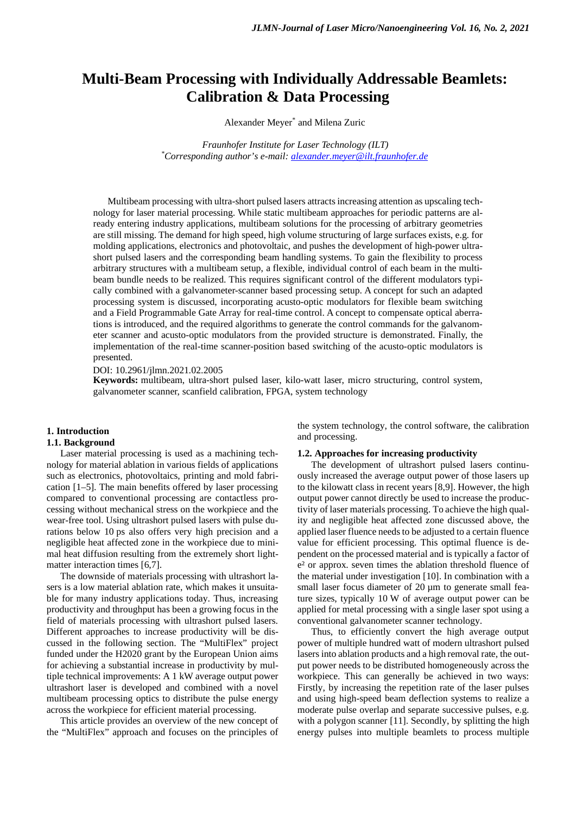# **Multi-Beam Processing with Individually Addressable Beamlets: Calibration & Data Processing**

Alexander Meyer\* and Milena Zuric

*Fraunhofer Institute for Laser Technology (ILT) \* Corresponding author's e-mail: [alexander.meyer@ilt.fraunhofer.de](mailto:alexander.meyer@ilt.fraunhofer.de)*

Multibeam processing with ultra-short pulsed lasers attracts increasing attention as upscaling technology for laser material processing. While static multibeam approaches for periodic patterns are already entering industry applications, multibeam solutions for the processing of arbitrary geometries are still missing. The demand for high speed, high volume structuring of large surfaces exists, e.g. for molding applications, electronics and photovoltaic, and pushes the development of high-power ultrashort pulsed lasers and the corresponding beam handling systems. To gain the flexibility to process arbitrary structures with a multibeam setup, a flexible, individual control of each beam in the multibeam bundle needs to be realized. This requires significant control of the different modulators typically combined with a galvanometer-scanner based processing setup. A concept for such an adapted processing system is discussed, incorporating acusto-optic modulators for flexible beam switching and a Field Programmable Gate Array for real-time control. A concept to compensate optical aberrations is introduced, and the required algorithms to generate the control commands for the galvanometer scanner and acusto-optic modulators from the provided structure is demonstrated. Finally, the implementation of the real-time scanner-position based switching of the acusto-optic modulators is presented.

#### DOI: 10.2961/jlmn.2021.02.2005

**Keywords:** multibeam, ultra-short pulsed laser, kilo-watt laser, micro structuring, control system, galvanometer scanner, scanfield calibration, FPGA, system technology

## **1. Introduction**

## **1.1. Background**

Laser material processing is used as a machining technology for material ablation in various fields of applications such as electronics, photovoltaics, printing and mold fabrication [1–5]. The main benefits offered by laser processing compared to conventional processing are contactless processing without mechanical stress on the workpiece and the wear-free tool. Using ultrashort pulsed lasers with pulse durations below 10 ps also offers very high precision and a negligible heat affected zone in the workpiece due to minimal heat diffusion resulting from the extremely short lightmatter interaction times [6,7].

The downside of materials processing with ultrashort lasers is a low material ablation rate, which makes it unsuitable for many industry applications today. Thus, increasing productivity and throughput has been a growing focus in the field of materials processing with ultrashort pulsed lasers. Different approaches to increase productivity will be discussed in the following section. The "MultiFlex" project funded under the H2020 grant by the European Union aims for achieving a substantial increase in productivity by multiple technical improvements: A 1 kW average output power ultrashort laser is developed and combined with a novel multibeam processing optics to distribute the pulse energy across the workpiece for efficient material processing.

This article provides an overview of the new concept of the "MultiFlex" approach and focuses on the principles of the system technology, the control software, the calibration and processing.

#### **1.2. Approaches for increasing productivity**

The development of ultrashort pulsed lasers continuously increased the average output power of those lasers up to the kilowatt class in recent years [8,9]. However, the high output power cannot directly be used to increase the productivity of laser materials processing. To achieve the high quality and negligible heat affected zone discussed above, the applied laser fluence needs to be adjusted to a certain fluence value for efficient processing. This optimal fluence is dependent on the processed material and is typically a factor of e² or approx. seven times the ablation threshold fluence of the material under investigation [10]. In combination with a small laser focus diameter of 20  $\mu$ m to generate small feature sizes, typically 10 W of average output power can be applied for metal processing with a single laser spot using a conventional galvanometer scanner technology.

Thus, to efficiently convert the high average output power of multiple hundred watt of modern ultrashort pulsed lasers into ablation products and a high removal rate, the output power needs to be distributed homogeneously across the workpiece. This can generally be achieved in two ways: Firstly, by increasing the repetition rate of the laser pulses and using high-speed beam deflection systems to realize a moderate pulse overlap and separate successive pulses, e.g. with a polygon scanner [11]. Secondly, by splitting the high energy pulses into multiple beamlets to process multiple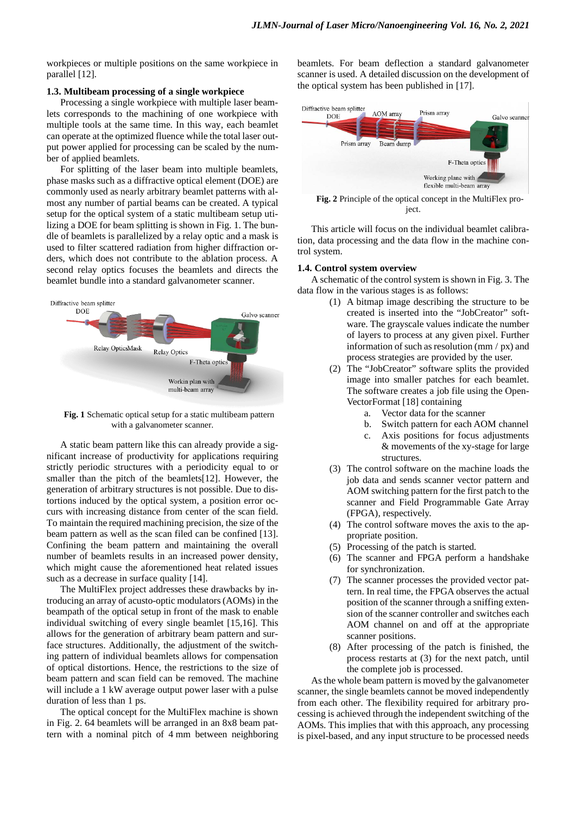workpieces or multiple positions on the same workpiece in parallel [12].

#### **1.3. Multibeam processing of a single workpiece**

Processing a single workpiece with multiple laser beamlets corresponds to the machining of one workpiece with multiple tools at the same time. In this way, each beamlet can operate at the optimized fluence while the total laser output power applied for processing can be scaled by the number of applied beamlets.

For splitting of the laser beam into multiple beamlets, phase masks such as a diffractive optical element (DOE) are commonly used as nearly arbitrary beamlet patterns with almost any number of partial beams can be created. A typical setup for the optical system of a static multibeam setup utilizing a DOE for beam splitting is shown in [Fig. 1.](#page-1-0) The bundle of beamlets is parallelized by a relay optic and a mask is used to filter scattered radiation from higher diffraction orders, which does not contribute to the ablation process. A second relay optics focuses the beamlets and directs the beamlet bundle into a standard galvanometer scanner.



<span id="page-1-0"></span>**Fig. 1** Schematic optical setup for a static multibeam pattern with a galvanometer scanner.

A static beam pattern like this can already provide a significant increase of productivity for applications requiring strictly periodic structures with a periodicity equal to or smaller than the pitch of the beamlets[12]. However, the generation of arbitrary structures is not possible. Due to distortions induced by the optical system, a position error occurs with increasing distance from center of the scan field. To maintain the required machining precision, the size of the beam pattern as well as the scan filed can be confined [13]. Confining the beam pattern and maintaining the overall number of beamlets results in an increased power density, which might cause the aforementioned heat related issues such as a decrease in surface quality [14].

The MultiFlex project addresses these drawbacks by introducing an array of acusto-optic modulators (AOMs) in the beampath of the optical setup in front of the mask to enable individual switching of every single beamlet [15,16]. This allows for the generation of arbitrary beam pattern and surface structures. Additionally, the adjustment of the switching pattern of individual beamlets allows for compensation of optical distortions. Hence, the restrictions to the size of beam pattern and scan field can be removed. The machine will include a 1 kW average output power laser with a pulse duration of less than 1 ps.

The optical concept for the MultiFlex machine is shown in [Fig. 2.](#page-1-1) 64 beamlets will be arranged in an 8x8 beam pattern with a nominal pitch of 4 mm between neighboring beamlets. For beam deflection a standard galvanometer scanner is used. A detailed discussion on the development of the optical system has been published in [17].



<span id="page-1-1"></span>ject.

This article will focus on the individual beamlet calibration, data processing and the data flow in the machine control system.

#### **1.4. Control system overview**

A schematic of the control system is shown in [Fig. 3.](#page-2-0) The data flow in the various stages is as follows:

- (1) A bitmap image describing the structure to be created is inserted into the "JobCreator" software. The grayscale values indicate the number of layers to process at any given pixel. Further information of such as resolution (mm / px) and process strategies are provided by the user.
- (2) The "JobCreator" software splits the provided image into smaller patches for each beamlet. The software creates a job file using the Open-VectorFormat [18] containing
	- a. Vector data for the scanner
	- b. Switch pattern for each AOM channel
	- c. Axis positions for focus adjustments & movements of the xy-stage for large structures.
- (3) The control software on the machine loads the job data and sends scanner vector pattern and AOM switching pattern for the first patch to the scanner and Field Programmable Gate Array (FPGA), respectively.
- (4) The control software moves the axis to the appropriate position.
- (5) Processing of the patch is started.
- (6) The scanner and FPGA perform a handshake for synchronization.
- (7) The scanner processes the provided vector pattern. In real time, the FPGA observes the actual position of the scanner through a sniffing extension of the scanner controller and switches each AOM channel on and off at the appropriate scanner positions.
- (8) After processing of the patch is finished, the process restarts at (3) for the next patch, until the complete job is processed.

As the whole beam pattern is moved by the galvanometer scanner, the single beamlets cannot be moved independently from each other. The flexibility required for arbitrary processing is achieved through the independent switching of the AOMs. This implies that with this approach, any processing is pixel-based, and any input structure to be processed needs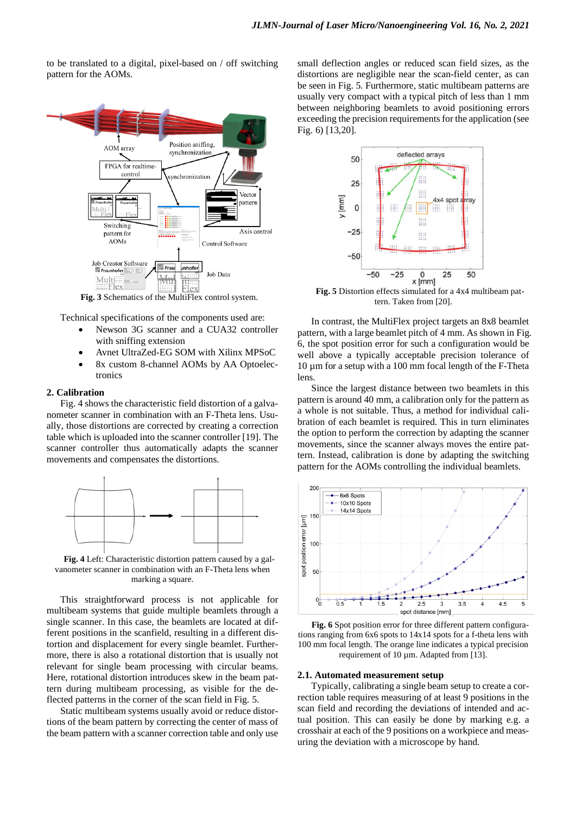to be translated to a digital, pixel-based on / off switching pattern for the AOMs.



**Fig. 3** Schematics of the MultiFlex control system.

<span id="page-2-0"></span>Technical specifications of the components used are:

- Newson 3G scanner and a CUA32 controller with sniffing extension
- Avnet UltraZed-EG SOM with Xilinx MPSoC
- 8x custom 8-channel AOMs by AA Optoelectronics

#### **2. Calibration**

[Fig. 4](#page-2-1) shows the characteristic field distortion of a galvanometer scanner in combination with an F-Theta lens. Usually, those distortions are corrected by creating a correction table which is uploaded into the scanner controller [19]. The scanner controller thus automatically adapts the scanner movements and compensates the distortions.



<span id="page-2-1"></span>**Fig. 4** Left: Characteristic distortion pattern caused by a galvanometer scanner in combination with an F-Theta lens when marking a square.

This straightforward process is not applicable for multibeam systems that guide multiple beamlets through a single scanner. In this case, the beamlets are located at different positions in the scanfield, resulting in a different distortion and displacement for every single beamlet. Furthermore, there is also a rotational distortion that is usually not relevant for single beam processing with circular beams. Here, rotational distortion introduces skew in the beam pattern during multibeam processing, as visible for the deflected patterns in the corner of the scan field in [Fig. 5.](#page-2-2)

Static multibeam systems usually avoid or reduce distortions of the beam pattern by correcting the center of mass of the beam pattern with a scanner correction table and only use

small deflection angles or reduced scan field sizes, as the distortions are negligible near the scan-field center, as can be seen in [Fig. 5.](#page-2-2) Furthermore, static multibeam patterns are usually very compact with a typical pitch of less than 1 mm between neighboring beamlets to avoid positioning errors exceeding the precision requirements for the application (see [Fig. 6\)](#page-2-3) [13,20].



<span id="page-2-2"></span>**Fig. 5** Distortion effects simulated for a 4x4 multibeam pattern. Taken from [20].

In contrast, the MultiFlex project targets an 8x8 beamlet pattern, with a large beamlet pitch of 4 mm. As shown in [Fig.](#page-2-3)  [6,](#page-2-3) the spot position error for such a configuration would be well above a typically acceptable precision tolerance of 10 µm for a setup with a 100 mm focal length of the F-Theta lens.

Since the largest distance between two beamlets in this pattern is around 40 mm, a calibration only for the pattern as a whole is not suitable. Thus, a method for individual calibration of each beamlet is required. This in turn eliminates the option to perform the correction by adapting the scanner movements, since the scanner always moves the entire pattern. Instead, calibration is done by adapting the switching pattern for the AOMs controlling the individual beamlets.



<span id="page-2-3"></span>**Fig. 6** Spot position error for three different pattern configurations ranging from 6x6 spots to 14x14 spots for a f-theta lens with 100 mm focal length. The orange line indicates a typical precision requirement of 10 µm. Adapted from [13].

#### **2.1. Automated measurement setup**

Typically, calibrating a single beam setup to create a correction table requires measuring of at least 9 positions in the scan field and recording the deviations of intended and actual position. This can easily be done by marking e.g. a crosshair at each of the 9 positions on a workpiece and measuring the deviation with a microscope by hand.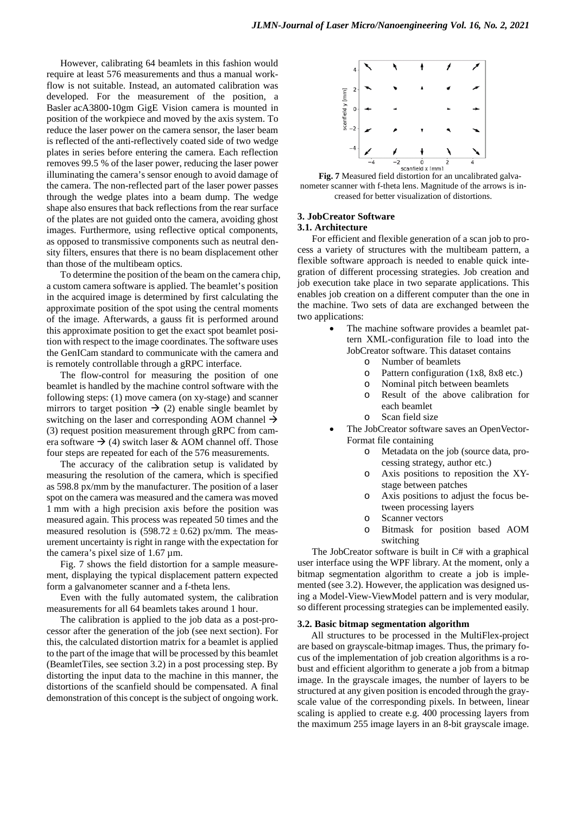However, calibrating 64 beamlets in this fashion would require at least 576 measurements and thus a manual workflow is not suitable. Instead, an automated calibration was developed. For the measurement of the position, a Basler acA3800-10gm GigE Vision camera is mounted in position of the workpiece and moved by the axis system. To reduce the laser power on the camera sensor, the laser beam is reflected of the anti-reflectively coated side of two wedge plates in series before entering the camera. Each reflection removes 99.5 % of the laser power, reducing the laser power illuminating the camera's sensor enough to avoid damage of the camera. The non-reflected part of the laser power passes through the wedge plates into a beam dump. The wedge shape also ensures that back reflections from the rear surface of the plates are not guided onto the camera, avoiding ghost images. Furthermore, using reflective optical components, as opposed to transmissive components such as neutral density filters, ensures that there is no beam displacement other than those of the multibeam optics.

To determine the position of the beam on the camera chip, a custom camera software is applied. The beamlet's position in the acquired image is determined by first calculating the approximate position of the spot using the central moments of the image. Afterwards, a gauss fit is performed around this approximate position to get the exact spot beamlet position with respect to the image coordinates. The software uses the GenICam standard to communicate with the camera and is remotely controllable through a gRPC interface.

The flow-control for measuring the position of one beamlet is handled by the machine control software with the following steps: (1) move camera (on xy-stage) and scanner mirrors to target position  $\rightarrow$  (2) enable single beamlet by switching on the laser and corresponding AOM channel  $\rightarrow$ (3) request position measurement through gRPC from camera software  $\rightarrow$  (4) switch laser & AOM channel off. Those four steps are repeated for each of the 576 measurements.

The accuracy of the calibration setup is validated by measuring the resolution of the camera, which is specified as 598.8 px/mm by the manufacturer. The position of a laser spot on the camera was measured and the camera was moved 1 mm with a high precision axis before the position was measured again. This process was repeated 50 times and the measured resolution is  $(598.72 \pm 0.62)$  px/mm. The measurement uncertainty is right in range with the expectation for the camera's pixel size of 1.67 µm.

[Fig. 7](#page-3-0) shows the field distortion for a sample measurement, displaying the typical displacement pattern expected form a galvanometer scanner and a f-theta lens.

Even with the fully automated system, the calibration measurements for all 64 beamlets takes around 1 hour.

The calibration is applied to the job data as a post-processor after the generation of the job (see next section). For this, the calculated distortion matrix for a beamlet is applied to the part of the image that will be processed by this beamlet (BeamletTiles, see section [3.2\)](#page-3-1) in a post processing step. By distorting the input data to the machine in this manner, the distortions of the scanfield should be compensated. A final demonstration of this concept is the subject of ongoing work.



<span id="page-3-0"></span>**Fig. 7** Measured field distortion for an uncalibrated galvanometer scanner with f-theta lens. Magnitude of the arrows is increased for better visualization of distortions.

## **3. JobCreator Software**

### **3.1. Architecture**

For efficient and flexible generation of a scan job to process a variety of structures with the multibeam pattern, a flexible software approach is needed to enable quick integration of different processing strategies. Job creation and job execution take place in two separate applications. This enables job creation on a different computer than the one in the machine. Two sets of data are exchanged between the two applications:

- The machine software provides a beamlet pattern XML-configuration file to load into the JobCreator software. This dataset contains
	- o Number of beamlets
	- o Pattern configuration (1x8, 8x8 etc.)
		- o Nominal pitch between beamlets
		- o Result of the above calibration for each beamlet
		- o Scan field size
- The JobCreator software saves an OpenVector-Format file containing
	- o Metadata on the job (source data, processing strategy, author etc.)
	- o Axis positions to reposition the XYstage between patches
	- o Axis positions to adjust the focus between processing layers
	- o Scanner vectors
	- o Bitmask for position based AOM switching

The JobCreator software is built in C# with a graphical user interface using the WPF library. At the moment, only a bitmap segmentation algorithm to create a job is implemented (se[e 3.2\)](#page-3-1). However, the application was designed using a Model-View-ViewModel pattern and is very modular, so different processing strategies can be implemented easily.

#### <span id="page-3-1"></span>**3.2. Basic bitmap segmentation algorithm**

All structures to be processed in the MultiFlex-project are based on grayscale-bitmap images. Thus, the primary focus of the implementation of job creation algorithms is a robust and efficient algorithm to generate a job from a bitmap image. In the grayscale images, the number of layers to be structured at any given position is encoded through the grayscale value of the corresponding pixels. In between, linear scaling is applied to create e.g. 400 processing layers from the maximum 255 image layers in an 8-bit grayscale image.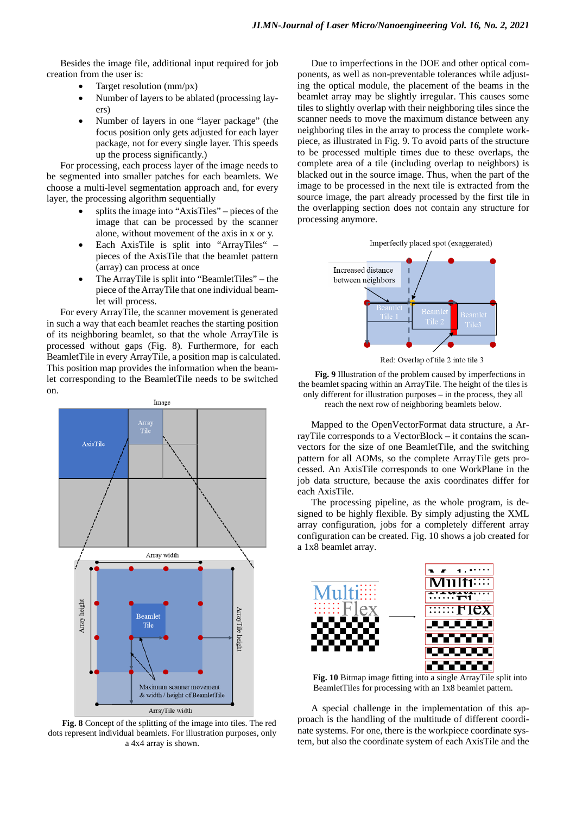Besides the image file, additional input required for job creation from the user is:

- Target resolution (mm/px)
- Number of layers to be ablated (processing layers)
- Number of layers in one "layer package" (the focus position only gets adjusted for each layer package, not for every single layer. This speeds up the process significantly.)

For processing, each process layer of the image needs to be segmented into smaller patches for each beamlets. We choose a multi-level segmentation approach and, for every layer, the processing algorithm sequentially

- splits the image into "AxisTiles" pieces of the image that can be processed by the scanner alone, without movement of the axis in x or y.
- Each AxisTile is split into "ArrayTiles" pieces of the AxisTile that the beamlet pattern (array) can process at once
- The ArrayTile is split into "BeamletTiles" the piece of the ArrayTile that one individual beamlet will process.

For every ArrayTile, the scanner movement is generated in such a way that each beamlet reaches the starting position of its neighboring beamlet, so that the whole ArrayTile is processed without gaps [\(Fig. 8\)](#page-4-0). Furthermore, for each BeamletTile in every ArrayTile, a position map is calculated. This position map provides the information when the beamlet corresponding to the BeamletTile needs to be switched on.



<span id="page-4-0"></span>**Fig. 8** Concept of the splitting of the image into tiles. The red dots represent individual beamlets. For illustration purposes, only a 4x4 array is shown.

Due to imperfections in the DOE and other optical components, as well as non-preventable tolerances while adjusting the optical module, the placement of the beams in the beamlet array may be slightly irregular. This causes some tiles to slightly overlap with their neighboring tiles since the scanner needs to move the maximum distance between any neighboring tiles in the array to process the complete workpiece, as illustrated in [Fig. 9.](#page-4-1) To avoid parts of the structure to be processed multiple times due to these overlaps, the complete area of a tile (including overlap to neighbors) is blacked out in the source image. Thus, when the part of the image to be processed in the next tile is extracted from the source image, the part already processed by the first tile in the overlapping section does not contain any structure for processing anymore.





Red: Overlap of tile 2 into tile 3

<span id="page-4-1"></span>**Fig. 9** Illustration of the problem caused by imperfections in the beamlet spacing within an ArrayTile. The height of the tiles is only different for illustration purposes – in the process, they all reach the next row of neighboring beamlets below.

Mapped to the OpenVectorFormat data structure, a ArrayTile corresponds to a VectorBlock – it contains the scanvectors for the size of one BeamletTile, and the switching pattern for all AOMs, so the complete ArrayTile gets processed. An AxisTile corresponds to one WorkPlane in the job data structure, because the axis coordinates differ for each AxisTile.

The processing pipeline, as the whole program, is designed to be highly flexible. By simply adjusting the XML array configuration, jobs for a completely different array configuration can be created. [Fig. 10](#page-4-2) shows a job created for a 1x8 beamlet array.



<span id="page-4-2"></span>**Fig. 10** Bitmap image fitting into a single ArrayTile split into BeamletTiles for processing with an 1x8 beamlet pattern.

A special challenge in the implementation of this approach is the handling of the multitude of different coordinate systems. For one, there is the workpiece coordinate system, but also the coordinate system of each AxisTile and the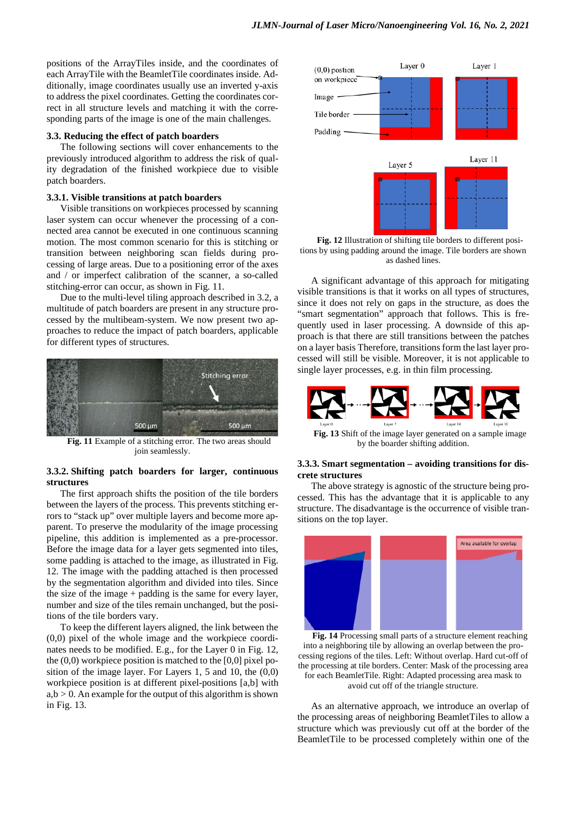positions of the ArrayTiles inside, and the coordinates of each ArrayTile with the BeamletTile coordinates inside. Additionally, image coordinates usually use an inverted y-axis to address the pixel coordinates. Getting the coordinates correct in all structure levels and matching it with the corresponding parts of the image is one of the main challenges.

#### **3.3. Reducing the effect of patch boarders**

The following sections will cover enhancements to the previously introduced algorithm to address the risk of quality degradation of the finished workpiece due to visible patch boarders.

#### **3.3.1. Visible transitions at patch boarders**

Visible transitions on workpieces processed by scanning laser system can occur whenever the processing of a connected area cannot be executed in one continuous scanning motion. The most common scenario for this is stitching or transition between neighboring scan fields during processing of large areas. Due to a positioning error of the axes and / or imperfect calibration of the scanner, a so-called stitching-error can occur, as shown in [Fig. 11.](#page-5-0)

Due to the multi-level tiling approach described in [3.2,](#page-3-1) a multitude of patch boarders are present in any structure processed by the multibeam-system. We now present two approaches to reduce the impact of patch boarders, applicable for different types of structures.



<span id="page-5-0"></span>**Fig. 11** Example of a stitching error. The two areas should join seamlessly.

#### **3.3.2. Shifting patch boarders for larger, continuous structures**

The first approach shifts the position of the tile borders between the layers of the process. This prevents stitching errors to "stack up" over multiple layers and become more apparent. To preserve the modularity of the image processing pipeline, this addition is implemented as a pre-processor. Before the image data for a layer gets segmented into tiles, some padding is attached to the image, as illustrated in [Fig.](#page-5-1)  [12.](#page-5-1) The image with the padding attached is then processed by the segmentation algorithm and divided into tiles. Since the size of the image + padding is the same for every layer, number and size of the tiles remain unchanged, but the positions of the tile borders vary.

To keep the different layers aligned, the link between the (0,0) pixel of the whole image and the workpiece coordinates needs to be modified. E.g., for the Layer 0 in [Fig. 12,](#page-5-1) the (0,0) workpiece position is matched to the [0,0] pixel position of the image layer. For Layers 1, 5 and 10, the (0,0) workpiece position is at different pixel-positions [a,b] with  $a,b > 0$ . An example for the output of this algorithm is shown i[n Fig. 13.](#page-5-2)



<span id="page-5-1"></span>**Fig. 12** Illustration of shifting tile borders to different positions by using padding around the image. Tile borders are shown as dashed lines.

A significant advantage of this approach for mitigating visible transitions is that it works on all types of structures, since it does not rely on gaps in the structure, as does the "smart segmentation" approach that follows. This is frequently used in laser processing. A downside of this approach is that there are still transitions between the patches on a layer basis Therefore, transitions form the last layer processed will still be visible. Moreover, it is not applicable to single layer processes, e.g. in thin film processing.



<span id="page-5-2"></span>**Fig. 13** Shift of the image layer generated on a sample image by the boarder shifting addition.

#### **3.3.3. Smart segmentation – avoiding transitions for discrete structures**

The above strategy is agnostic of the structure being processed. This has the advantage that it is applicable to any structure. The disadvantage is the occurrence of visible transitions on the top layer.



<span id="page-5-3"></span>**Fig. 14** Processing small parts of a structure element reaching into a neighboring tile by allowing an overlap between the processing regions of the tiles. Left: Without overlap. Hard cut-off of the processing at tile borders. Center: Mask of the processing area for each BeamletTile. Right: Adapted processing area mask to avoid cut off of the triangle structure.

As an alternative approach, we introduce an overlap of the processing areas of neighboring BeamletTiles to allow a structure which was previously cut off at the border of the BeamletTile to be processed completely within one of the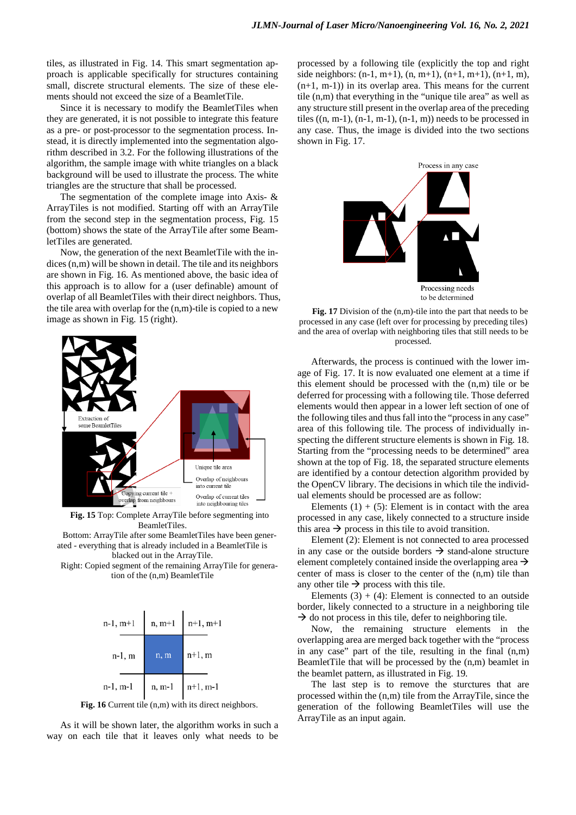tiles, as illustrated in [Fig. 14.](#page-5-3) This smart segmentation approach is applicable specifically for structures containing small, discrete structural elements. The size of these elements should not exceed the size of a BeamletTile.

Since it is necessary to modify the BeamletTiles when they are generated, it is not possible to integrate this feature as a pre- or post-processor to the segmentation process. Instead, it is directly implemented into the segmentation algorithm described in [3.2.](#page-3-1) For the following illustrations of the algorithm, the sample image with white triangles on a black background will be used to illustrate the process. The white triangles are the structure that shall be processed.

The segmentation of the complete image into Axis-  $\&$ ArrayTiles is not modified. Starting off with an ArrayTile from the second step in the segmentation process, [Fig. 15](#page-6-0) (bottom) shows the state of the ArrayTile after some BeamletTiles are generated.

Now, the generation of the next BeamletTile with the indices (n,m) will be shown in detail. The tile and its neighbors are shown in [Fig. 16.](#page-6-1) As mentioned above, the basic idea of this approach is to allow for a (user definable) amount of overlap of all BeamletTiles with their direct neighbors. Thus, the tile area with overlap for the (n,m)-tile is copied to a new image as shown in [Fig. 15](#page-6-0) (right).



<span id="page-6-0"></span>**Fig. 15** Top: Complete ArrayTile before segmenting into BeamletTiles.

Bottom: ArrayTile after some BeamletTiles have been generated - everything that is already included in a BeamletTile is blacked out in the ArrayTile.

Right: Copied segment of the remaining ArrayTile for generation of the (n,m) BeamletTile



Fig. 16 Current tile  $(n,m)$  with its direct neighbors.

<span id="page-6-1"></span>As it will be shown later, the algorithm works in such a way on each tile that it leaves only what needs to be processed by a following tile (explicitly the top and right side neighbors:  $(n-1, m+1)$ ,  $(n, m+1)$ ,  $(n+1, m+1)$ ,  $(n+1, m)$ ,  $(n+1, m-1)$  in its overlap area. This means for the current tile (n,m) that everything in the "unique tile area" as well as any structure still present in the overlap area of the preceding tiles  $((n, m-1), (n-1, m-1), (n-1, m))$  needs to be processed in any case. Thus, the image is divided into the two sections shown in [Fig. 17.](#page-6-2)



<span id="page-6-2"></span>**Fig. 17** Division of the (n,m)-tile into the part that needs to be processed in any case (left over for processing by preceding tiles) and the area of overlap with neighboring tiles that still needs to be processed.

Afterwards, the process is continued with the lower image of [Fig. 17.](#page-6-2) It is now evaluated one element at a time if this element should be processed with the (n,m) tile or be deferred for processing with a following tile. Those deferred elements would then appear in a lower left section of one of the following tiles and thus fall into the "process in any case" area of this following tile. The process of individually inspecting the different structure elements is shown in [Fig. 18.](#page-7-0) Starting from the "processing needs to be determined" area shown at the top of [Fig. 18,](#page-7-0) the separated structure elements are identified by a contour detection algorithm provided by the OpenCV library. The decisions in which tile the individual elements should be processed are as follow:

Elements  $(1) + (5)$ : Element is in contact with the area processed in any case, likely connected to a structure inside this area  $\rightarrow$  process in this tile to avoid transition.

Element (2): Element is not connected to area processed in any case or the outside borders  $\rightarrow$  stand-alone structure element completely contained inside the overlapping area  $\rightarrow$ center of mass is closer to the center of the (n,m) tile than any other tile  $\rightarrow$  process with this tile.

Elements  $(3) + (4)$ : Element is connected to an outside border, likely connected to a structure in a neighboring tile  $\rightarrow$  do not process in this tile, defer to neighboring tile.

Now, the remaining structure elements in the overlapping area are merged back together with the "process in any case" part of the tile, resulting in the final (n,m) BeamletTile that will be processed by the (n,m) beamlet in the beamlet pattern, as illustrated in [Fig. 19.](#page-7-1)

The last step is to remove the sturctures that are processed within the (n,m) tile from the ArrayTile, since the generation of the following BeamletTiles will use the ArrayTile as an input again.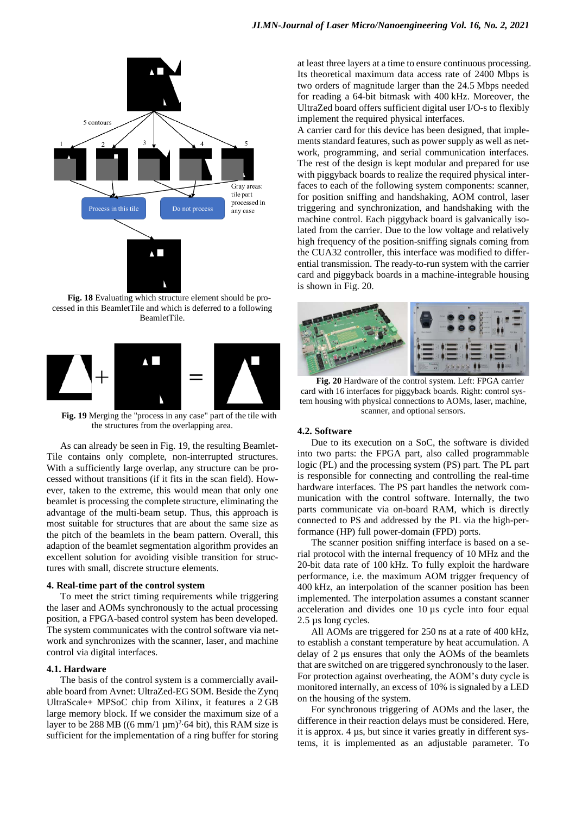

<span id="page-7-0"></span>**Fig. 18** Evaluating which structure element should be processed in this BeamletTile and which is deferred to a following BeamletTile.



<span id="page-7-1"></span>**Fig. 19** Merging the "process in any case" part of the tile with the structures from the overlapping area.

As can already be seen in [Fig. 19,](#page-7-1) the resulting Beamlet-Tile contains only complete, non-interrupted structures. With a sufficiently large overlap, any structure can be processed without transitions (if it fits in the scan field). However, taken to the extreme, this would mean that only one beamlet is processing the complete structure, eliminating the advantage of the multi-beam setup. Thus, this approach is most suitable for structures that are about the same size as the pitch of the beamlets in the beam pattern. Overall, this adaption of the beamlet segmentation algorithm provides an excellent solution for avoiding visible transition for structures with small, discrete structure elements.

#### **4. Real-time part of the control system**

To meet the strict timing requirements while triggering the laser and AOMs synchronously to the actual processing position, a FPGA-based control system has been developed. The system communicates with the control software via network and synchronizes with the scanner, laser, and machine control via digital interfaces.

#### **4.1. Hardware**

The basis of the control system is a commercially available board from Avnet: UltraZed-EG SOM. Beside the Zynq UltraScale+ MPSoC chip from Xilinx, it features a 2 GB large memory block. If we consider the maximum size of a layer to be 288 MB ((6 mm/1  $\mu$ m)<sup>2</sup>·64 bit), this RAM size is sufficient for the implementation of a ring buffer for storing

at least three layers at a time to ensure continuous processing. Its theoretical maximum data access rate of 2400 Mbps is two orders of magnitude larger than the 24.5 Mbps needed for reading a 64-bit bitmask with 400 kHz. Moreover, the UltraZed board offers sufficient digital user I/O-s to flexibly implement the required physical interfaces.

A carrier card for this device has been designed, that implements standard features, such as power supply as well as network, programming, and serial communication interfaces. The rest of the design is kept modular and prepared for use with piggyback boards to realize the required physical interfaces to each of the following system components: scanner, for position sniffing and handshaking, AOM control, laser triggering and synchronization, and handshaking with the machine control. Each piggyback board is galvanically isolated from the carrier. Due to the low voltage and relatively high frequency of the position-sniffing signals coming from the CUA32 controller, this interface was modified to differential transmission. The ready-to-run system with the carrier card and piggyback boards in a machine-integrable housing is shown in [Fig. 20.](#page-7-2)



<span id="page-7-2"></span>**Fig. 20** Hardware of the control system. Left: FPGA carrier card with 16 interfaces for piggyback boards. Right: control system housing with physical connections to AOMs, laser, machine, scanner, and optional sensors.

#### **4.2. Software**

Due to its execution on a SoC, the software is divided into two parts: the FPGA part, also called programmable logic (PL) and the processing system (PS) part. The PL part is responsible for connecting and controlling the real-time hardware interfaces. The PS part handles the network communication with the control software. Internally, the two parts communicate via on-board RAM, which is directly connected to PS and addressed by the PL via the high-performance (HP) full power-domain (FPD) ports.

The scanner position sniffing interface is based on a serial protocol with the internal frequency of 10 MHz and the 20-bit data rate of 100 kHz. To fully exploit the hardware performance, i.e. the maximum AOM trigger frequency of 400 kHz, an interpolation of the scanner position has been implemented. The interpolation assumes a constant scanner acceleration and divides one 10 µs cycle into four equal 2.5 µs long cycles.

All AOMs are triggered for 250 ns at a rate of 400 kHz, to establish a constant temperature by heat accumulation. A delay of 2 µs ensures that only the AOMs of the beamlets that are switched on are triggered synchronously to the laser. For protection against overheating, the AOM's duty cycle is monitored internally, an excess of 10% is signaled by a LED on the housing of the system.

For synchronous triggering of AOMs and the laser, the difference in their reaction delays must be considered. Here, it is approx. 4 µs, but since it varies greatly in different systems, it is implemented as an adjustable parameter. To